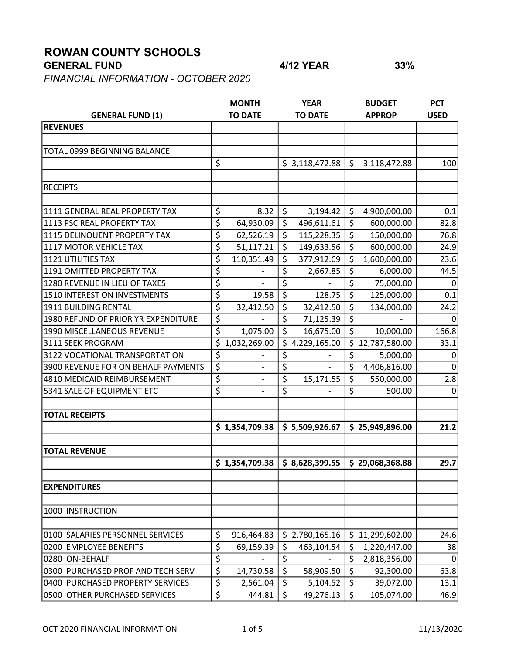## ROWAN COUNTY SCHOOLS

## GENERAL FUND 4/12 YEAR 33%

FINANCIAL INFORMATION - OCTOBER 2020

|                                     |                                 | <b>MONTH</b>             |                  | <b>YEAR</b>    |         | <b>BUDGET</b>   | <b>PCT</b>  |
|-------------------------------------|---------------------------------|--------------------------|------------------|----------------|---------|-----------------|-------------|
| <b>GENERAL FUND (1)</b>             |                                 | <b>TO DATE</b>           |                  | <b>TO DATE</b> |         | <b>APPROP</b>   | <b>USED</b> |
| <b>REVENUES</b>                     |                                 |                          |                  |                |         |                 |             |
|                                     |                                 |                          |                  |                |         |                 |             |
| TOTAL 0999 BEGINNING BALANCE        |                                 |                          |                  |                |         |                 |             |
|                                     | \$                              | $\overline{\phantom{0}}$ |                  | \$3,118,472.88 | \$      | 3,118,472.88    | 100         |
|                                     |                                 |                          |                  |                |         |                 |             |
| <b>RECEIPTS</b>                     |                                 |                          |                  |                |         |                 |             |
|                                     |                                 |                          |                  |                |         |                 |             |
| 1111 GENERAL REAL PROPERTY TAX      | \$                              | 8.32                     | \$               | 3,194.42       | \$      | 4,900,000.00    | 0.1         |
| 1113 PSC REAL PROPERTY TAX          | \$                              | 64,930.09                | \$               | 496,611.61     | $\zeta$ | 600,000.00      | 82.8        |
| 1115 DELINQUENT PROPERTY TAX        | \$                              | 62,526.19                | \$               | 115,228.35     | \$      | 150,000.00      | 76.8        |
| 1117 MOTOR VEHICLE TAX              | \$                              | 51,117.21                | \$               | 149,633.56     | \$      | 600,000.00      | 24.9        |
| <b>1121 UTILITIES TAX</b>           | \$                              | 110,351.49               | \$               | 377,912.69     | \$      | 1,600,000.00    | 23.6        |
| 1191 OMITTED PROPERTY TAX           | \$                              |                          | \$               | 2,667.85       | \$      | 6,000.00        | 44.5        |
| 1280 REVENUE IN LIEU OF TAXES       | \$                              |                          | \$               |                | \$      | 75,000.00       | 0           |
| 1510 INTEREST ON INVESTMENTS        | \$                              | 19.58                    | \$               | 128.75         | \$      | 125,000.00      | 0.1         |
| 1911 BUILDING RENTAL                | \$                              | 32,412.50                | \$               | 32,412.50      | \$      | 134,000.00      | 24.2        |
| 1980 REFUND OF PRIOR YR EXPENDITURE | \$                              |                          | \$               | 71,125.39      | \$      |                 | 0           |
| 1990 MISCELLANEOUS REVENUE          | \$                              | 1,075.00                 | \$               | 16,675.00      | \$      | 10,000.00       | 166.8       |
| 3111 SEEK PROGRAM                   | \$                              | 1,032,269.00             | \$               | 4,229,165.00   | \$      | 12,787,580.00   | 33.1        |
| 3122 VOCATIONAL TRANSPORTATION      | \$                              |                          | \$               |                | \$      | 5,000.00        | 0           |
| 3900 REVENUE FOR ON BEHALF PAYMENTS | \$                              |                          | \$               |                | \$      | 4,406,816.00    | $\Omega$    |
| 4810 MEDICAID REIMBURSEMENT         | \$                              | $\overline{\phantom{0}}$ | \$               | 15,171.55      | \$      | 550,000.00      | 2.8         |
| 5341 SALE OF EQUIPMENT ETC          | \$                              |                          | \$               |                | \$      | 500.00          | $\Omega$    |
|                                     |                                 |                          |                  |                |         |                 |             |
| <b>TOTAL RECEIPTS</b>               |                                 |                          |                  |                |         |                 |             |
|                                     |                                 | \$1,354,709.38           |                  | \$5,509,926.67 |         | \$25,949,896.00 | 21.2        |
|                                     |                                 |                          |                  |                |         |                 |             |
| <b>TOTAL REVENUE</b>                |                                 |                          |                  |                |         |                 |             |
|                                     |                                 | \$1,354,709.38           |                  | \$8,628,399.55 |         | \$29,068,368.88 | 29.7        |
| <b>EXPENDITURES</b>                 |                                 |                          |                  |                |         |                 |             |
|                                     |                                 |                          |                  |                |         |                 |             |
| 1000 INSTRUCTION                    |                                 |                          |                  |                |         |                 |             |
| 0100 SALARIES PERSONNEL SERVICES    | \$                              | 916,464.83               |                  | \$2,780,165.16 | \$      | 11,299,602.00   | 24.6        |
| 0200 EMPLOYEE BENEFITS              | \$                              | 69,159.39                | \$               | 463,104.54     | \$      | 1,220,447.00    | 38          |
| 0280 ON-BEHALF                      | \$                              |                          | $\overline{\xi}$ |                | \$      | 2,818,356.00    | $\mathbf 0$ |
| 0300 PURCHASED PROF AND TECH SERV   | \$                              | 14,730.58                | $\overline{\xi}$ | 58,909.50      | $\zeta$ | 92,300.00       | 63.8        |
| 0400 PURCHASED PROPERTY SERVICES    | \$                              | 2,561.04                 | \$               | 5,104.52       | \$      | 39,072.00       | 13.1        |
| 0500 OTHER PURCHASED SERVICES       | $\overline{\boldsymbol{\zeta}}$ | 444.81                   | \$               | 49,276.13      | $\zeta$ | 105,074.00      | 46.9        |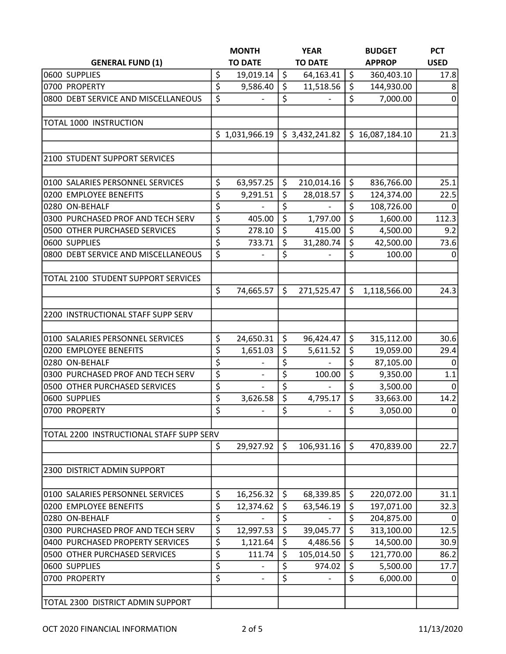|                                          | <b>MONTH</b>    |                  | <b>YEAR</b>    |                  | <b>BUDGET</b>   | <b>PCT</b>  |
|------------------------------------------|-----------------|------------------|----------------|------------------|-----------------|-------------|
| <b>GENERAL FUND (1)</b>                  | <b>TO DATE</b>  |                  | <b>TO DATE</b> |                  | <b>APPROP</b>   | <b>USED</b> |
| 0600 SUPPLIES                            | \$<br>19,019.14 | $\zeta$          | 64,163.41      | \$               | 360,403.10      | 17.8        |
| 0700 PROPERTY                            | \$<br>9,586.40  | $\zeta$          | 11,518.56      | \$               | 144,930.00      | 8           |
| 0800 DEBT SERVICE AND MISCELLANEOUS      | \$              | \$               |                | \$               | 7,000.00        | $\mathbf 0$ |
|                                          |                 |                  |                |                  |                 |             |
| TOTAL 1000 INSTRUCTION                   |                 |                  |                |                  |                 |             |
|                                          | \$1,031,966.19  |                  | \$3,432,241.82 |                  | \$16,087,184.10 | 21.3        |
| 2100 STUDENT SUPPORT SERVICES            |                 |                  |                |                  |                 |             |
| 0100 SALARIES PERSONNEL SERVICES         | \$<br>63,957.25 | \$               | 210,014.16     | \$               | 836,766.00      | 25.1        |
| 0200 EMPLOYEE BENEFITS                   | \$<br>9,291.51  | $\zeta$          | 28,018.57      | \$               | 124,374.00      | 22.5        |
| 0280 ON-BEHALF                           | \$              | \$               |                | \$               | 108,726.00      | 0           |
| 0300 PURCHASED PROF AND TECH SERV        | \$<br>405.00    | $\zeta$          | 1,797.00       | \$               | 1,600.00        | 112.3       |
| 0500 OTHER PURCHASED SERVICES            | \$<br>278.10    | $\overline{\xi}$ | 415.00         | \$               | 4,500.00        | 9.2         |
| 0600 SUPPLIES                            | \$<br>733.71    | \$               | 31,280.74      | \$               | 42,500.00       | 73.6        |
| 0800 DEBT SERVICE AND MISCELLANEOUS      | \$              | \$               |                | \$               | 100.00          | 0           |
| TOTAL 2100 STUDENT SUPPORT SERVICES      |                 |                  |                |                  |                 |             |
|                                          | \$<br>74,665.57 | \$               | 271,525.47     | \$               | 1,118,566.00    | 24.3        |
| 2200 INSTRUCTIONAL STAFF SUPP SERV       |                 |                  |                |                  |                 |             |
| 0100 SALARIES PERSONNEL SERVICES         | \$<br>24,650.31 | $\zeta$          | 96,424.47      | $\zeta$          | 315,112.00      | 30.6        |
| 0200 EMPLOYEE BENEFITS                   | \$<br>1,651.03  | \$               | 5,611.52       | \$               | 19,059.00       | 29.4        |
| 0280 ON-BEHALF                           | \$              | \$               |                | \$               | 87,105.00       | 0           |
| 0300 PURCHASED PROF AND TECH SERV        | \$              | \$               | 100.00         | \$               | 9,350.00        | 1.1         |
| 0500 OTHER PURCHASED SERVICES            | \$              | \$               |                | \$               | 3,500.00        | 0           |
| 0600 SUPPLIES                            | \$<br>3,626.58  | $\overline{\xi}$ | 4,795.17       | \$               | 33,663.00       | 14.2        |
| 0700 PROPERTY                            | \$              | \$               |                | \$               | 3,050.00        | $\pmb{0}$   |
| TOTAL 2200 INSTRUCTIONAL STAFF SUPP SERV |                 |                  |                |                  |                 |             |
|                                          | \$<br>29,927.92 | $\zeta$          | 106,931.16     | $\zeta$          | 470,839.00      | 22.7        |
| 2300 DISTRICT ADMIN SUPPORT              |                 |                  |                |                  |                 |             |
| 0100 SALARIES PERSONNEL SERVICES         | \$<br>16,256.32 | $\zeta$          | 68,339.85      | \$               | 220,072.00      | 31.1        |
| 0200 EMPLOYEE BENEFITS                   | \$<br>12,374.62 | $\zeta$          | 63,546.19      | \$               | 197,071.00      | 32.3        |
| 0280 ON-BEHALF                           | \$              | \$               |                | \$               | 204,875.00      | 0           |
| 0300 PURCHASED PROF AND TECH SERV        | \$<br>12,997.53 | \$               | 39,045.77      | \$               | 313,100.00      | 12.5        |
| 0400 PURCHASED PROPERTY SERVICES         | \$<br>1,121.64  | $\zeta$          | 4,486.56       | \$               | 14,500.00       | 30.9        |
| 0500 OTHER PURCHASED SERVICES            | \$<br>111.74    | \$               | 105,014.50     | \$               | 121,770.00      | 86.2        |
| 0600 SUPPLIES                            | \$              | \$               | 974.02         | \$               | 5,500.00        | 17.7        |
| 0700 PROPERTY                            | \$              | $\overline{\xi}$ |                | $\overline{\xi}$ | 6,000.00        | 0           |
| TOTAL 2300 DISTRICT ADMIN SUPPORT        |                 |                  |                |                  |                 |             |
|                                          |                 |                  |                |                  |                 |             |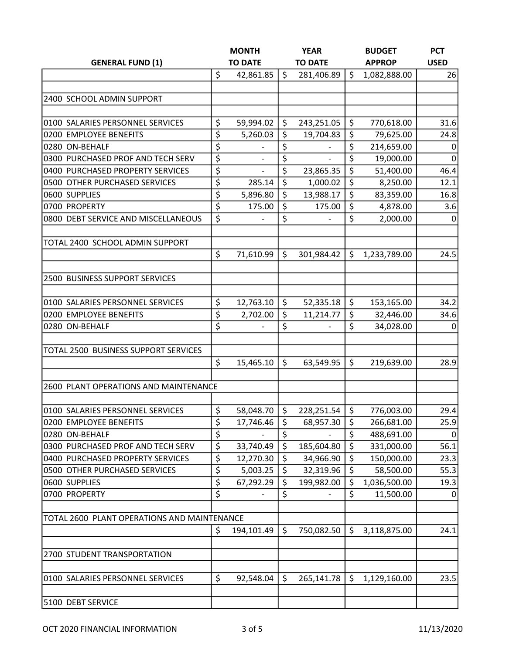|                                             |    | <b>MONTH</b>   |                                 | <b>YEAR</b>    |         | <b>BUDGET</b> | <b>PCT</b>  |
|---------------------------------------------|----|----------------|---------------------------------|----------------|---------|---------------|-------------|
| <b>GENERAL FUND (1)</b>                     |    | <b>TO DATE</b> |                                 | <b>TO DATE</b> |         | <b>APPROP</b> | <b>USED</b> |
|                                             | \$ | 42,861.85      | \$                              | 281,406.89     | \$      | 1,082,888.00  | 26          |
|                                             |    |                |                                 |                |         |               |             |
| 2400 SCHOOL ADMIN SUPPORT                   |    |                |                                 |                |         |               |             |
|                                             |    |                |                                 |                |         |               |             |
| 0100 SALARIES PERSONNEL SERVICES            | \$ | 59,994.02      | \$                              | 243,251.05     | \$      | 770,618.00    | 31.6        |
| 0200 EMPLOYEE BENEFITS                      | \$ | 5,260.03       | \$                              | 19,704.83      | \$      | 79,625.00     | 24.8        |
| 0280 ON-BEHALF                              | \$ |                | \$                              |                | \$      | 214,659.00    | 0           |
| 0300 PURCHASED PROF AND TECH SERV           | \$ |                | \$                              |                | \$      | 19,000.00     | 0           |
| 0400 PURCHASED PROPERTY SERVICES            | \$ |                | \$                              | 23,865.35      | \$      | 51,400.00     | 46.4        |
| 0500 OTHER PURCHASED SERVICES               | \$ | 285.14         | \$                              | 1,000.02       | \$      | 8,250.00      | 12.1        |
| 0600 SUPPLIES                               | \$ | 5,896.80       | $\overline{\boldsymbol{\zeta}}$ | 13,988.17      | \$      | 83,359.00     | 16.8        |
| 0700 PROPERTY                               | \$ | 175.00         | \$                              | 175.00         | \$      | 4,878.00      | 3.6         |
| 0800 DEBT SERVICE AND MISCELLANEOUS         | \$ |                | \$                              |                | \$      | 2,000.00      | 0           |
|                                             |    |                |                                 |                |         |               |             |
| TOTAL 2400 SCHOOL ADMIN SUPPORT             |    |                |                                 |                |         |               |             |
|                                             | \$ | 71,610.99      | \$                              | 301,984.42     | \$      | 1,233,789.00  | 24.5        |
|                                             |    |                |                                 |                |         |               |             |
| 2500 BUSINESS SUPPORT SERVICES              |    |                |                                 |                |         |               |             |
| 0100 SALARIES PERSONNEL SERVICES            | \$ | 12,763.10      | $\zeta$                         | 52,335.18      | \$      | 153,165.00    | 34.2        |
| 0200 EMPLOYEE BENEFITS                      | \$ | 2,702.00       | \$                              | 11,214.77      | \$      | 32,446.00     | 34.6        |
| 0280 ON-BEHALF                              | \$ |                | \$                              |                | \$      | 34,028.00     | 0           |
|                                             |    |                |                                 |                |         |               |             |
| TOTAL 2500 BUSINESS SUPPORT SERVICES        |    |                |                                 |                |         |               |             |
|                                             | \$ | 15,465.10      | \$                              | 63,549.95      | \$      | 219,639.00    | 28.9        |
|                                             |    |                |                                 |                |         |               |             |
| 2600 PLANT OPERATIONS AND MAINTENANCE       |    |                |                                 |                |         |               |             |
|                                             |    |                |                                 |                |         |               |             |
| 0100 SALARIES PERSONNEL SERVICES            | \$ | 58,048.70      | \$                              | 228,251.54     | \$      | 776,003.00    | 29.4        |
| 0200 EMPLOYEE BENEFITS                      | \$ | 17,746.46      | \$                              | 68,957.30      | \$      | 266,681.00    | 25.9        |
| 0280 ON-BEHALF                              | \$ |                | \$                              |                | \$      | 488,691.00    | 0           |
| 0300 PURCHASED PROF AND TECH SERV           | \$ | 33,740.49      | \$                              | 185,604.80     | $\zeta$ | 331,000.00    | 56.1        |
| 0400 PURCHASED PROPERTY SERVICES            | \$ | 12,270.30      | \$                              | 34,966.90      | \$      | 150,000.00    | 23.3        |
| 0500 OTHER PURCHASED SERVICES               | \$ | 5,003.25       | \$                              | 32,319.96      | \$      | 58,500.00     | 55.3        |
| 0600 SUPPLIES                               | \$ | 67,292.29      | \$                              | 199,982.00     | \$      | 1,036,500.00  | 19.3        |
| 0700 PROPERTY                               | \$ |                | \$                              |                | \$      | 11,500.00     | 0           |
|                                             |    |                |                                 |                |         |               |             |
| TOTAL 2600 PLANT OPERATIONS AND MAINTENANCE |    |                |                                 |                |         |               |             |
|                                             | \$ | 194,101.49     | \$                              | 750,082.50     | \$      | 3,118,875.00  | 24.1        |
| 2700 STUDENT TRANSPORTATION                 |    |                |                                 |                |         |               |             |
|                                             |    |                |                                 |                |         |               |             |
| 0100 SALARIES PERSONNEL SERVICES            | \$ | 92,548.04      | \$                              | 265,141.78     | \$      | 1,129,160.00  | 23.5        |
|                                             |    |                |                                 |                |         |               |             |
| 5100 DEBT SERVICE                           |    |                |                                 |                |         |               |             |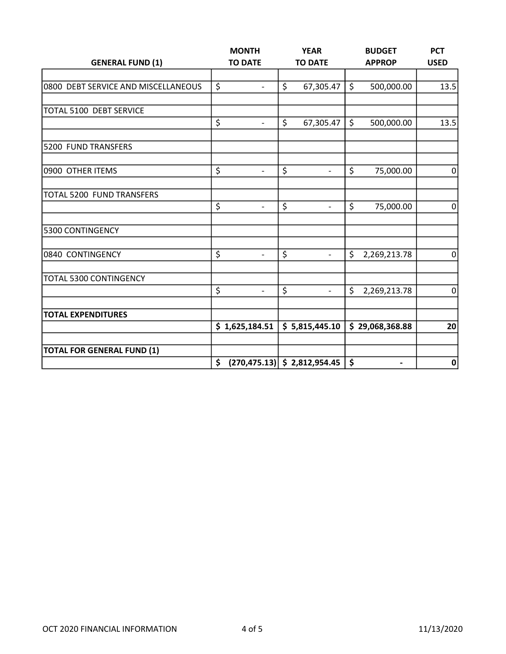|                                     |    | <b>MONTH</b>             |         | <b>YEAR</b>                     |              | <b>BUDGET</b>            | <b>PCT</b>     |
|-------------------------------------|----|--------------------------|---------|---------------------------------|--------------|--------------------------|----------------|
| <b>GENERAL FUND (1)</b>             |    | <b>TO DATE</b>           |         | <b>TO DATE</b>                  |              | <b>APPROP</b>            | <b>USED</b>    |
|                                     |    |                          |         |                                 |              |                          |                |
| 0800 DEBT SERVICE AND MISCELLANEOUS | \$ | $\blacksquare$           | \$      | 67,305.47                       | $\zeta$      | 500,000.00               | 13.5           |
| TOTAL 5100 DEBT SERVICE             |    |                          |         |                                 |              |                          |                |
|                                     | \$ | $\blacksquare$           | $\zeta$ | 67,305.47                       | $\mathsf{S}$ | 500,000.00               | 13.5           |
|                                     |    |                          |         |                                 |              |                          |                |
| 5200 FUND TRANSFERS                 |    |                          |         |                                 |              |                          |                |
| 0900 OTHER ITEMS                    | \$ |                          | \$      |                                 | \$           | 75,000.00                | $\Omega$       |
| TOTAL 5200 FUND TRANSFERS           |    |                          |         |                                 |              |                          |                |
|                                     | \$ | $\overline{\phantom{0}}$ | \$      | $\overline{\phantom{0}}$        | \$           | 75,000.00                | $\pmb{0}$      |
| 5300 CONTINGENCY                    |    |                          |         |                                 |              |                          |                |
| 0840 CONTINGENCY                    | \$ | $\overline{\phantom{0}}$ | \$      | $\overline{\phantom{a}}$        | \$           | 2,269,213.78             | 0              |
| TOTAL 5300 CONTINGENCY              |    |                          |         |                                 |              |                          |                |
|                                     | \$ | $\overline{\phantom{0}}$ | \$      | $\blacksquare$                  | \$           | 2,269,213.78             | $\overline{0}$ |
| <b>TOTAL EXPENDITURES</b>           |    |                          |         |                                 |              |                          |                |
|                                     |    | \$1,625,184.51           |         | \$5,815,445.10                  |              | \$29,068,368.88          | 20             |
| <b>TOTAL FOR GENERAL FUND (1)</b>   |    |                          |         |                                 |              |                          |                |
|                                     | \$ |                          |         | $(270, 475.13)$ \$ 2,812,954.45 | \$           | $\overline{\phantom{a}}$ | 0              |